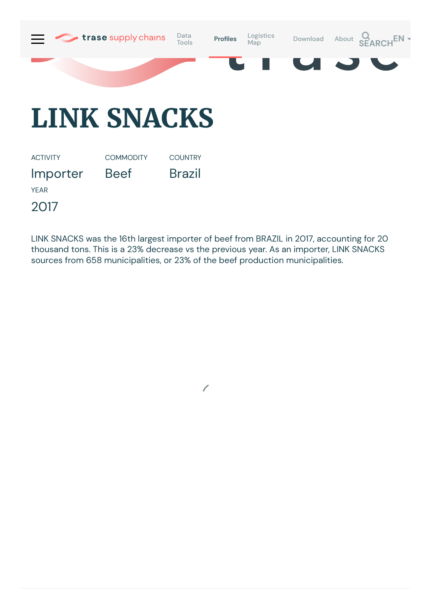

## **LINK SNACKS**

ACTIVITY Importer **COMMODITY** Beef COUNTRY Brazil YEAR 2017

LINK SNACKS was the 16th largest importer of beef from BRAZIL in 2017, accounting for 20 thousand tons. This is a 23% decrease vs the previous year. As an importer, LINK SNACKS sources from 658 municipalities, or 23% of the beef production municipalities.

 $\sqrt{2}$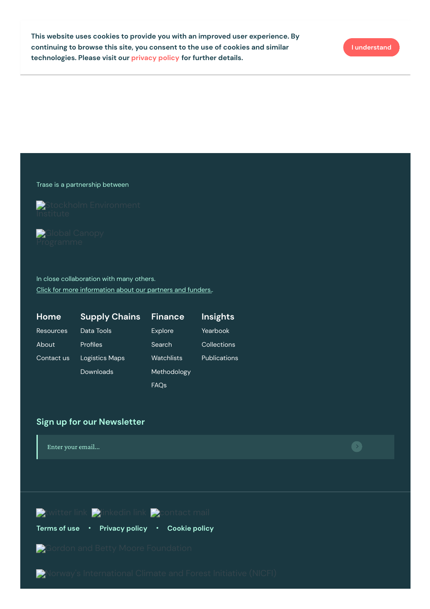Trase is a partnership between

Stockholm [Environment](https://sei-international.org/)

Global Canopy

In close collaboration with many others. Click for more [information](https://www.trase.earth/about/) about our partners and funders..

| Home             | <b>Supply Chains</b> | <b>Finance</b>   | <b>Insights</b>     |
|------------------|----------------------|------------------|---------------------|
| <b>Resources</b> | Data Tools           | Explore          | Yearbook            |
| About            | Profiles             | Search           | Collections         |
| Contact us       | Logistics Maps       | Watchlists       | <b>Publications</b> |
|                  | Downloads            | Methodology      |                     |
|                  |                      | FAQ <sub>s</sub> |                     |

## **Sign up for our Newsletter**